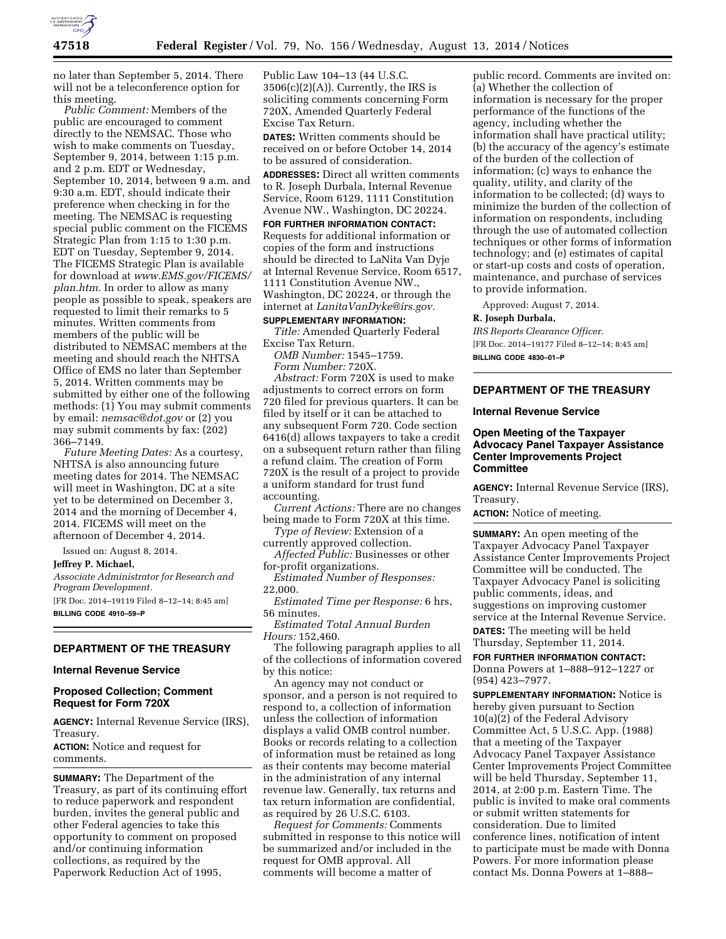

no later than September 5, 2014. There will not be a teleconference option for this meeting.

*Public Comment:* Members of the public are encouraged to comment directly to the NEMSAC. Those who wish to make comments on Tuesday, September 9, 2014, between 1:15 p.m. and 2 p.m. EDT or Wednesday, September 10, 2014, between 9 a.m. and 9:30 a.m. EDT, should indicate their preference when checking in for the meeting. The NEMSAC is requesting special public comment on the FICEMS Strategic Plan from 1:15 to 1:30 p.m. EDT on Tuesday, September 9, 2014. The FICEMS Strategic Plan is available for download at *[www.EMS.gov/FICEMS/](http://www.EMS.gov/FICEMS/plan.htm)  [plan.htm.](http://www.EMS.gov/FICEMS/plan.htm)* In order to allow as many people as possible to speak, speakers are requested to limit their remarks to 5 minutes. Written comments from members of the public will be distributed to NEMSAC members at the meeting and should reach the NHTSA Office of EMS no later than September 5, 2014. Written comments may be submitted by either one of the following methods: (1) You may submit comments by email: *[nemsac@dot.gov](mailto:nemsac@dot.gov)* or (2) you may submit comments by fax: (202) 366–7149.

*Future Meeting Dates:* As a courtesy, NHTSA is also announcing future meeting dates for 2014. The NEMSAC will meet in Washington, DC at a site yet to be determined on December 3, 2014 and the morning of December 4, 2014. FICEMS will meet on the afternoon of December 4, 2014.

Issued on: August 8, 2014.

**Jeffrey P. Michael,** 

*Associate Administrator for Research and Program Development.* 

[FR Doc. 2014–19119 Filed 8–12–14; 8:45 am] **BILLING CODE 4910–59–P** 

## **DEPARTMENT OF THE TREASURY**

# **Internal Revenue Service**

# **Proposed Collection; Comment Request for Form 720X**

**AGENCY:** Internal Revenue Service (IRS), Treasury.

**ACTION:** Notice and request for comments.

**SUMMARY:** The Department of the Treasury, as part of its continuing effort to reduce paperwork and respondent burden, invites the general public and other Federal agencies to take this opportunity to comment on proposed and/or continuing information collections, as required by the Paperwork Reduction Act of 1995,

Public Law 104–13 (44 U.S.C.  $3506(c)(2)(A)$ . Currently, the IRS is soliciting comments concerning Form 720X, Amended Quarterly Federal Excise Tax Return.

**DATES:** Written comments should be received on or before October 14, 2014 to be assured of consideration.

**ADDRESSES:** Direct all written comments to R. Joseph Durbala, Internal Revenue Service, Room 6129, 1111 Constitution Avenue NW., Washington, DC 20224.

**FOR FURTHER INFORMATION CONTACT:**  Requests for additional information or copies of the form and instructions should be directed to LaNita Van Dyje at Internal Revenue Service, Room 6517, 1111 Constitution Avenue NW., Washington, DC 20224, or through the internet at *[LanitaVanDyke@irs.gov.](mailto:LanitaVanDyke@irs.gov)* 

# **SUPPLEMENTARY INFORMATION:**

*Title:* Amended Quarterly Federal Excise Tax Return.

*OMB Number:* 1545–1759. *Form Number:* 720X.

*Abstract:* Form 720X is used to make adjustments to correct errors on form 720 filed for previous quarters. It can be filed by itself or it can be attached to any subsequent Form 720. Code section 6416(d) allows taxpayers to take a credit on a subsequent return rather than filing a refund claim. The creation of Form 720X is the result of a project to provide a uniform standard for trust fund accounting.

*Current Actions:* There are no changes being made to Form 720X at this time.

*Type of Review:* Extension of a currently approved collection.

*Affected Public:* Businesses or other for-profit organizations.

*Estimated Number of Responses:*  22,000.

*Estimated Time per Response:* 6 hrs, 56 minutes.

*Estimated Total Annual Burden Hours:* 152,460.

The following paragraph applies to all of the collections of information covered by this notice:

An agency may not conduct or sponsor, and a person is not required to respond to, a collection of information unless the collection of information displays a valid OMB control number. Books or records relating to a collection of information must be retained as long as their contents may become material in the administration of any internal revenue law. Generally, tax returns and tax return information are confidential, as required by 26 U.S.C. 6103.

*Request for Comments:* Comments submitted in response to this notice will be summarized and/or included in the request for OMB approval. All comments will become a matter of

public record. Comments are invited on: (a) Whether the collection of information is necessary for the proper performance of the functions of the agency, including whether the information shall have practical utility; (b) the accuracy of the agency's estimate of the burden of the collection of information; (c) ways to enhance the quality, utility, and clarity of the information to be collected; (d) ways to minimize the burden of the collection of information on respondents, including through the use of automated collection techniques or other forms of information technology; and (e) estimates of capital or start-up costs and costs of operation, maintenance, and purchase of services to provide information.

Approved: August 7, 2014.

#### **R. Joseph Durbala,**

*IRS Reports Clearance Officer.*  [FR Doc. 2014–19177 Filed 8–12–14; 8:45 am] **BILLING CODE 4830–01–P** 

# **DEPARTMENT OF THE TREASURY**

#### **Internal Revenue Service**

## **Open Meeting of the Taxpayer Advocacy Panel Taxpayer Assistance Center Improvements Project Committee**

**AGENCY:** Internal Revenue Service (IRS), Treasury.

**ACTION:** Notice of meeting.

**SUMMARY:** An open meeting of the Taxpayer Advocacy Panel Taxpayer Assistance Center Improvements Project Committee will be conducted. The Taxpayer Advocacy Panel is soliciting public comments, ideas, and suggestions on improving customer service at the Internal Revenue Service.

**DATES:** The meeting will be held Thursday, September 11, 2014.

**FOR FURTHER INFORMATION CONTACT:**  Donna Powers at 1–888–912–1227 or (954) 423–7977.

**SUPPLEMENTARY INFORMATION:** Notice is hereby given pursuant to Section 10(a)(2) of the Federal Advisory Committee Act, 5 U.S.C. App. (1988) that a meeting of the Taxpayer Advocacy Panel Taxpayer Assistance Center Improvements Project Committee will be held Thursday, September 11, 2014, at 2:00 p.m. Eastern Time. The public is invited to make oral comments or submit written statements for consideration. Due to limited conference lines, notification of intent to participate must be made with Donna Powers. For more information please contact Ms. Donna Powers at 1–888–